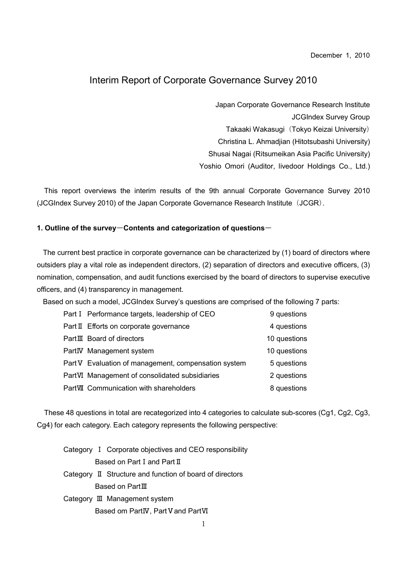December 1, 2010

# Interim Report of Corporate Governance Survey 2010

Japan Corporate Governance Research Institute JCGIndex Survey Group

Takaaki Wakasugi (Tokyo Keizai University)

Christina L. Ahmadjian (Hitotsubashi University)

Shusai Nagai (Ritsumeikan Asia Pacific University)

Yoshio Omori (Auditor, livedoor Holdings Co., Ltd.)

This report overviews the interim results of the 9th annual Corporate Governance Survey 2010 (JCGIndex Survey 2010) of the Japan Corporate Governance Research Institute (JCGR).

### 1. Outline of the survey-Contents and categorization of questions-

The current best practice in corporate governance can be characterized by (1) board of directors where outsiders play a vital role as independent directors, (2) separation of directors and executive officers, (3) nomination, compensation, and audit functions exercised by the board of directors to supervise executive officers, and (4) transparency in management.

Based on such a model, JCGIndex Survey's questions are comprised of the following 7 parts:

| Part I Performance targets, leadership of CEO        | 9 questions  |
|------------------------------------------------------|--------------|
| Part II Efforts on corporate governance              | 4 questions  |
| PartIII Board of directors                           | 10 questions |
| PartIV Management system                             | 10 questions |
| Part V Evaluation of management, compensation system | 5 questions  |
| PartVI Management of consolidated subsidiaries       | 2 questions  |
| PartVII Communication with shareholders              | 8 questions  |

These 48 questions in total are recategorized into 4 categories to calculate sub-scores (Cg1, Cg2, Cg3, Cg4) for each category. Each category represents the following perspective:

|  | Category I Corporate objectives and CEO responsibility   |
|--|----------------------------------------------------------|
|  | Based on Part I and Part II                              |
|  | Category II Structure and function of board of directors |
|  | Based on Part $\rm I\hspace{-.1em}I\hspace{-.1em}I$      |
|  | Category Ⅲ Management system                             |
|  | Based om PartIV, Part V and PartVI                       |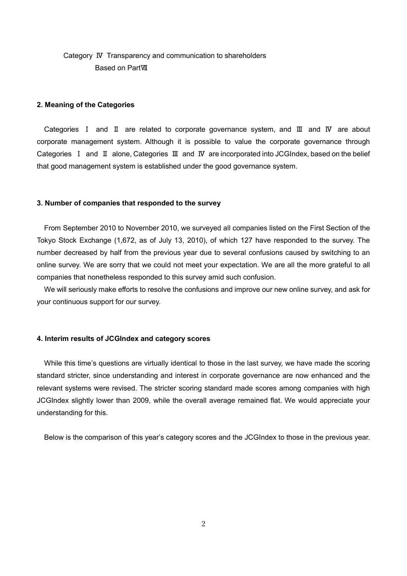# Category Ⅳ Transparency and communication to shareholders Based on PartⅦ

#### 2. Meaning of the Categories

Categories Ⅰ and Ⅱ are related to corporate governance system, and Ⅲ and Ⅳ are about corporate management system. Although it is possible to value the corporate governance through Categories Ⅰ and Ⅱ alone, Categories Ⅲ and Ⅳ are incorporated into JCGIndex, based on the belief that good management system is established under the good governance system.

#### 3. Number of companies that responded to the survey

From September 2010 to November 2010, we surveyed all companies listed on the First Section of the Tokyo Stock Exchange (1,672, as of July 13, 2010), of which 127 have responded to the survey. The number decreased by half from the previous year due to several confusions caused by switching to an online survey. We are sorry that we could not meet your expectation. We are all the more grateful to all companies that nonetheless responded to this survey amid such confusion.

We will seriously make efforts to resolve the confusions and improve our new online survey, and ask for your continuous support for our survey.

#### 4. Interim results of JCGIndex and category scores

While this time's questions are virtually identical to those in the last survey, we have made the scoring standard stricter, since understanding and interest in corporate governance are now enhanced and the relevant systems were revised. The stricter scoring standard made scores among companies with high JCGIndex slightly lower than 2009, while the overall average remained flat. We would appreciate your understanding for this.

Below is the comparison of this year's category scores and the JCGIndex to those in the previous year.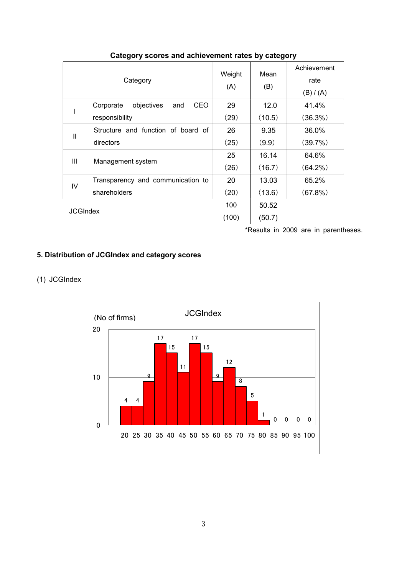| Category        |                                              | Weight<br>(A) | Mean<br>(B) | Achievement<br>rate<br>(B) / (A) |
|-----------------|----------------------------------------------|---------------|-------------|----------------------------------|
|                 | <b>CEO</b><br>objectives<br>Corporate<br>and | 29            | 12.0        | 41.4%                            |
|                 | responsibility                               | (29)          | (10.5)      | (36.3%)                          |
| $\mathbf{I}$    | Structure and function of board of           | 26            | 9.35        | 36.0%                            |
|                 | directors                                    | (25)          | (9.9)       | (39.7%)                          |
| Ш               |                                              | 25            | 16.14       | 64.6%                            |
|                 | Management system                            | (26)          | (16.7)      | $(64.2\%)$                       |
| IV              | Transparency and communication to            | 20            | 13.03       | 65.2%                            |
|                 | shareholders                                 | (20)          | (13.6)      | (67.8%)                          |
| <b>JCGIndex</b> |                                              | 100           | 50.52       |                                  |
|                 |                                              | (100)         | (50.7)      |                                  |

## Category scores and achievement rates by category

\*Results in 2009 are in parentheses.

# 5. Distribution of JCGIndex and category scores

## (1) JCGIndex

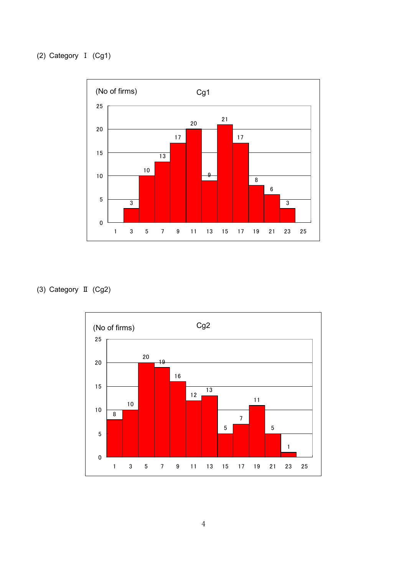

(3) Category Ⅱ (Cg2)